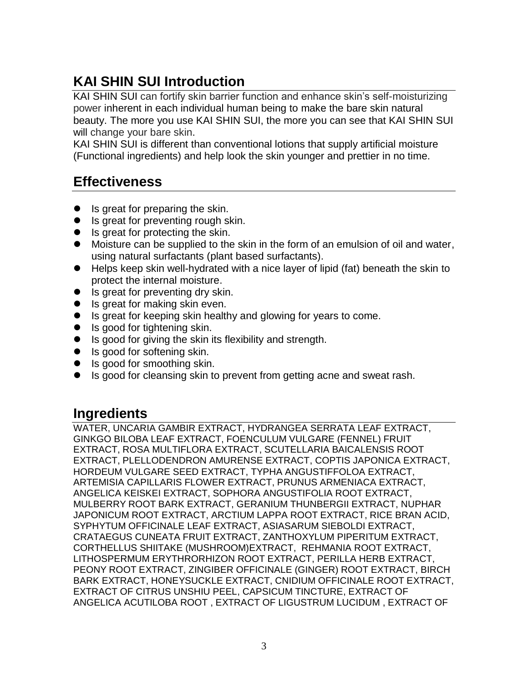# **KAI SHIN SUI Introduction**

KAI SHIN SUI can fortify skin barrier function and enhance skin's self-moisturizing power inherent in each individual human being to make the bare skin natural beauty. The more you use KAI SHIN SUI, the more you can see that KAI SHIN SUI will change your bare skin.

KAI SHIN SUI is different than conventional lotions that supply artificial moisture (Functional ingredients) and help look the skin younger and prettier in no time.

## **Effectiveness**

- Is great for preparing the skin.
- Is great for preventing rough skin.
- Is great for protecting the skin.
- Moisture can be supplied to the skin in the form of an emulsion of oil and water, using natural surfactants (plant based surfactants).
- Helps keep skin well-hydrated with a nice layer of lipid (fat) beneath the skin to protect the internal moisture.
- Is great for preventing dry skin.
- Is great for making skin even.
- Is great for keeping skin healthy and glowing for years to come.
- Is good for tightening skin.
- Is good for giving the skin its flexibility and strength.
- Is good for softening skin.
- Is good for smoothing skin.
- Is good for cleansing skin to prevent from getting acne and sweat rash.

### **Ingredients**

WATER, UNCARIA GAMBIR EXTRACT, HYDRANGEA SERRATA LEAF EXTRACT, GINKGO BILOBA LEAF EXTRACT, FOENCULUM VULGARE (FENNEL) FRUIT EXTRACT, ROSA MULTIFLORA EXTRACT, SCUTELLARIA BAICALENSIS ROOT EXTRACT, PLELLODENDRON AMURENSE EXTRACT, COPTIS JAPONICA EXTRACT, HORDEUM VULGARE SEED EXTRACT, TYPHA ANGUSTIFFOLOA EXTRACT, ARTEMISIA CAPILLARIS FLOWER EXTRACT, PRUNUS ARMENIACA EXTRACT, ANGELICA KEISKEI EXTRACT, SOPHORA ANGUSTIFOLIA ROOT EXTRACT, MULBERRY ROOT BARK EXTRACT, GERANIUM THUNBERGII EXTRACT, NUPHAR JAPONICUM ROOT EXTRACT, ARCTIUM LAPPA ROOT EXTRACT, RICE BRAN ACID, SYPHYTUM OFFICINALE LEAF EXTRACT, ASIASARUM SIEBOLDI EXTRACT, CRATAEGUS CUNEATA FRUIT EXTRACT, ZANTHOXYLUM PIPERITUM EXTRACT, CORTHELLUS SHIITAKE (MUSHROOM)EXTRACT, REHMANIA ROOT EXTRACT, LITHOSPERMUM ERYTHRORHIZON ROOT EXTRACT, PERILLA HERB EXTRACT, PEONY ROOT EXTRACT, ZINGIBER OFFICINALE (GINGER) ROOT EXTRACT, BIRCH BARK EXTRACT, HONEYSUCKLE EXTRACT, CNIDIUM OFFICINALE ROOT EXTRACT, EXTRACT OF CITRUS UNSHIU PEEL, CAPSICUM TINCTURE, EXTRACT OF ANGELICA ACUTILOBA ROOT , EXTRACT OF LIGUSTRUM LUCIDUM , EXTRACT OF